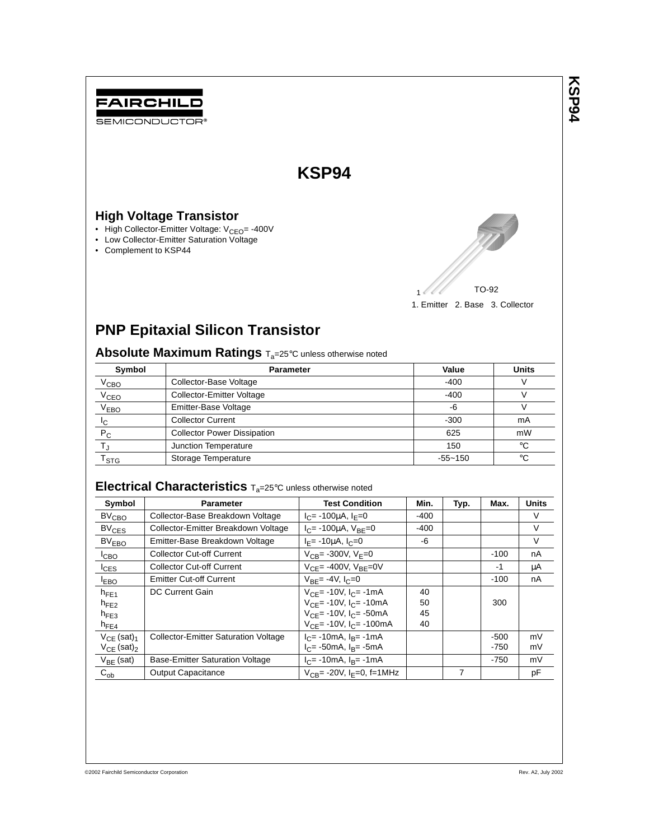

1. Emitter 2. Base 3. Collector

# **PNP Epitaxial Silicon Transistor**

Absolute Maximum Ratings  $T_a=25^\circ$ C unless otherwise noted

| Symbol                      | <b>Parameter</b>                   | Value       | <b>Units</b> |
|-----------------------------|------------------------------------|-------------|--------------|
| V <sub>CBO</sub>            | Collector-Base Voltage             | $-400$      |              |
| V <sub>CEO</sub>            | <b>Collector-Emitter Voltage</b>   | $-400$      |              |
| V <sub>EBO</sub>            | Emitter-Base Voltage               | -6          |              |
| Ιc                          | <b>Collector Current</b>           | $-300$      | mA           |
| $P_C$                       | <b>Collector Power Dissipation</b> | 625         | mW           |
|                             | Junction Temperature               | 150         | $^{\circ}$ C |
| $\mathsf{r}_{\texttt{STG}}$ | Storage Temperature                | $-55 - 150$ | $^{\circ}C$  |

# **Electrical Characteristics** Ta=25°<sup>C</sup> unless otherwise noted

| Symbol                      | <b>Parameter</b>                            | <b>Test Condition</b>                           | Min. | Typ. | Max.   | <b>Units</b> |
|-----------------------------|---------------------------------------------|-------------------------------------------------|------|------|--------|--------------|
| BV <sub>CBO</sub>           | Collector-Base Breakdown Voltage            | $I_C$ = -100 $\mu$ A, $I_F$ =0                  | -400 |      |        | V            |
| BV <sub>CES</sub>           | Collector-Emitter Breakdown Voltage         | $I_C$ = -100µA, $V_{BE}$ =0                     | -400 |      |        | V            |
| BV <sub>FRO</sub>           | Emitter-Base Breakdown Voltage              | $I_F$ = -10 $\mu$ A, $I_C$ =0                   | -6   |      |        | V            |
| ICBO                        | <b>Collector Cut-off Current</b>            | $V_{CB} = -300V, V_E = 0$                       |      |      | $-100$ | nA           |
| $I_{CES}$                   | <b>Collector Cut-off Current</b>            | $V_{CF}$ = -400V, $V_{BF}$ = 0V                 |      |      | -1     | μA           |
| <b>EBO</b>                  | <b>Emitter Cut-off Current</b>              | $V_{BF} = -4V, I_C = 0$                         |      |      | $-100$ | nA           |
| $h_{FF1}$                   | DC Current Gain                             | $V_{CE}$ = -10V, $I_C$ = -1mA                   | 40   |      |        |              |
| $h_{FF2}$                   |                                             | $V_{CF}$ = -10V, $I_{C}$ = -10mA                | 50   |      | 300    |              |
| $h_{FF3}$                   |                                             | $V_{\text{CE}}$ = -10V, $I_{\text{C}}$ = -50mA  | 45   |      |        |              |
| $h_{FE4}$                   |                                             | $V_{\text{CE}}$ = -10V, $I_{\text{C}}$ = -100mA | 40   |      |        |              |
| $V_{CF}$ (sat) <sub>1</sub> | <b>Collector-Emitter Saturation Voltage</b> | $I_C$ = -10mA, $I_B$ = -1mA                     |      |      | $-500$ | mV           |
| $V_{CF}$ (sat) <sub>2</sub> |                                             | $I_C$ = -50mA, $I_R$ = -5mA                     |      |      | $-750$ | mV           |
| $V_{RF}$ (sat)              | <b>Base-Emitter Saturation Voltage</b>      | $I_C$ = -10mA, $I_R$ = -1mA                     |      |      | $-750$ | mV           |
| $C_{ob}$                    | Output Capacitance                          | $V_{CB}$ = -20V, I <sub>F</sub> =0, f=1MHz      |      | 7    |        | pF           |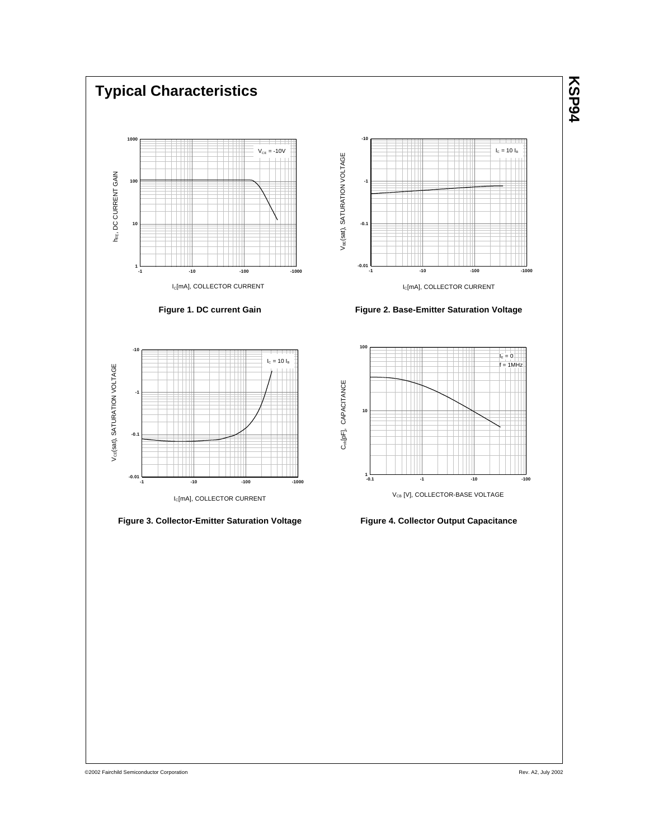

©2002 Fairchild Semiconductor Corporation

Rev. A2, July 2002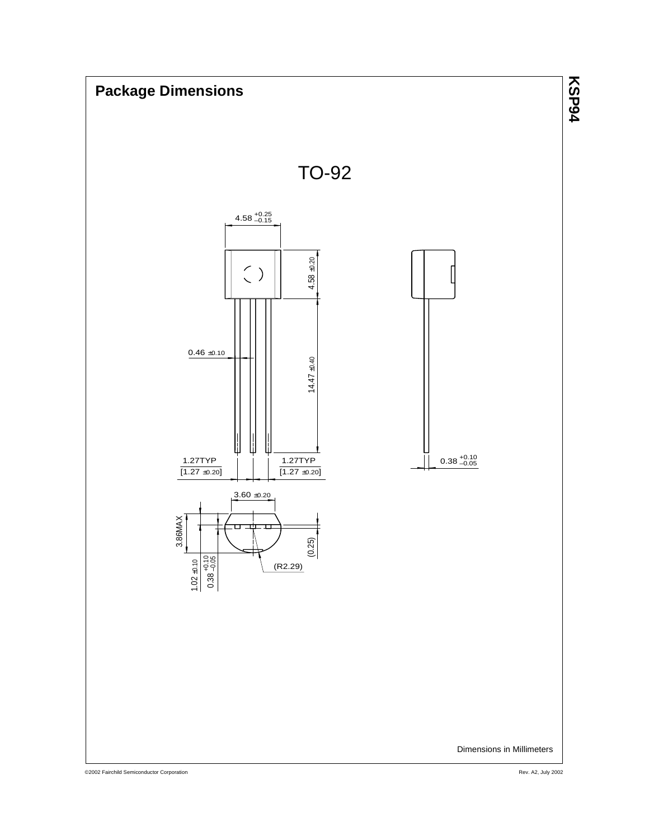

©2002 Fairchild Semiconductor Corporation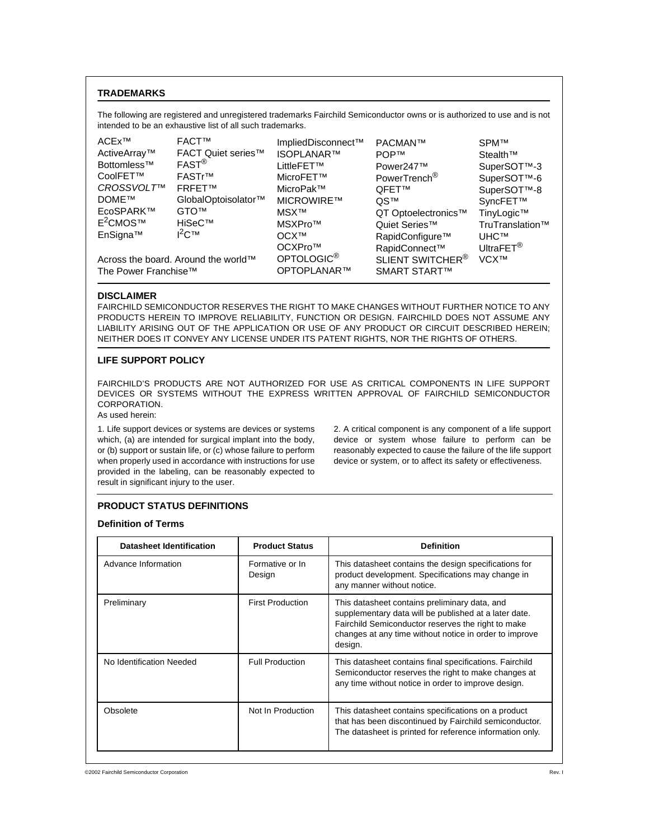# **TRADEMARKS**

The following are registered and unregistered trademarks Fairchild Semiconductor owns or is authorized to use and is not intended to be an exhaustive list of all such trademarks.

| ACEx™                | <b>FACT™</b>                        | ImpliedDisconnect™     | PACMAN™                      | <b>SPMTM</b>            |
|----------------------|-------------------------------------|------------------------|------------------------------|-------------------------|
| ActiveArray™         | <b>FACT Quiet series™</b>           | <b>ISOPLANAR™</b>      | <b>POPTM</b>                 | Stealth™                |
| Bottomless™          | $FAST^{\circledR}$                  | LittleFET™             | Power247™                    | SuperSOT™-3             |
| CoolFET™             | FASTr™                              | MicroFET™              | PowerTrench <sup>®</sup>     | SuperSOT™-6             |
| CROSSVOLT™           | <b>FRFETTM</b>                      | MicroPak™              | <b>QFET™</b>                 | SuperSOT™-8             |
| DOME™                | GlobalOptoisolator™                 | <b>MICROWIRE™</b>      | OS™                          | SyncFET™                |
| EcoSPARK™            | <b>GTOTM</b>                        | <b>MSXTM</b>           | QT Optoelectronics™          | TinyLogic™              |
| E <sup>2</sup> CMOS™ | HiSeC™                              | MSXPro™                | Quiet Series <sup>™</sup>    | TruTranslation™         |
| EnSigna™             | $I^2C$ TM                           | OCX <sup>TM</sup>      | RapidConfigure <sup>™</sup>  | <b>UHC<sub>TM</sub></b> |
|                      |                                     | OCXPro™                | RapidConnect™                | UltraFET <sup>®</sup>   |
|                      | Across the board. Around the world™ | OPTOLOGIC <sup>®</sup> | SLIENT SWITCHER <sup>®</sup> | <b>VCXTM</b>            |
| The Power Franchise™ |                                     | OPTOPLANAR™            | <b>SMART START™</b>          |                         |

#### **DISCLAIMER**

FAIRCHILD SEMICONDUCTOR RESERVES THE RIGHT TO MAKE CHANGES WITHOUT FURTHER NOTICE TO ANY PRODUCTS HEREIN TO IMPROVE RELIABILITY, FUNCTION OR DESIGN. FAIRCHILD DOES NOT ASSUME ANY LIABILITY ARISING OUT OF THE APPLICATION OR USE OF ANY PRODUCT OR CIRCUIT DESCRIBED HEREIN; NEITHER DOES IT CONVEY ANY LICENSE UNDER ITS PATENT RIGHTS, NOR THE RIGHTS OF OTHERS.

#### **LIFE SUPPORT POLICY**

FAIRCHILD'S PRODUCTS ARE NOT AUTHORIZED FOR USE AS CRITICAL COMPONENTS IN LIFE SUPPORT DEVICES OR SYSTEMS WITHOUT THE EXPRESS WRITTEN APPROVAL OF FAIRCHILD SEMICONDUCTOR CORPORATION.

# As used herein:

1. Life support devices or systems are devices or systems which, (a) are intended for surgical implant into the body, or (b) support or sustain life, or (c) whose failure to perform when properly used in accordance with instructions for use provided in the labeling, can be reasonably expected to result in significant injury to the user.

2. A critical component is any component of a life support device or system whose failure to perform can be reasonably expected to cause the failure of the life support device or system, or to affect its safety or effectiveness.

#### **PRODUCT STATUS DEFINITIONS**

#### **Definition of Terms**

| <b>Datasheet Identification</b> | <b>Product Status</b>     | <b>Definition</b>                                                                                                                                                                                                                 |
|---------------------------------|---------------------------|-----------------------------------------------------------------------------------------------------------------------------------------------------------------------------------------------------------------------------------|
| Advance Information             | Formative or In<br>Design | This datasheet contains the design specifications for<br>product development. Specifications may change in<br>any manner without notice.                                                                                          |
| Preliminary                     | <b>First Production</b>   | This datasheet contains preliminary data, and<br>supplementary data will be published at a later date.<br>Fairchild Semiconductor reserves the right to make<br>changes at any time without notice in order to improve<br>design. |
| No Identification Needed        | <b>Full Production</b>    | This datasheet contains final specifications. Fairchild<br>Semiconductor reserves the right to make changes at<br>any time without notice in order to improve design.                                                             |
| Obsolete                        | Not In Production         | This datasheet contains specifications on a product<br>that has been discontinued by Fairchild semiconductor.<br>The datasheet is printed for reference information only.                                                         |